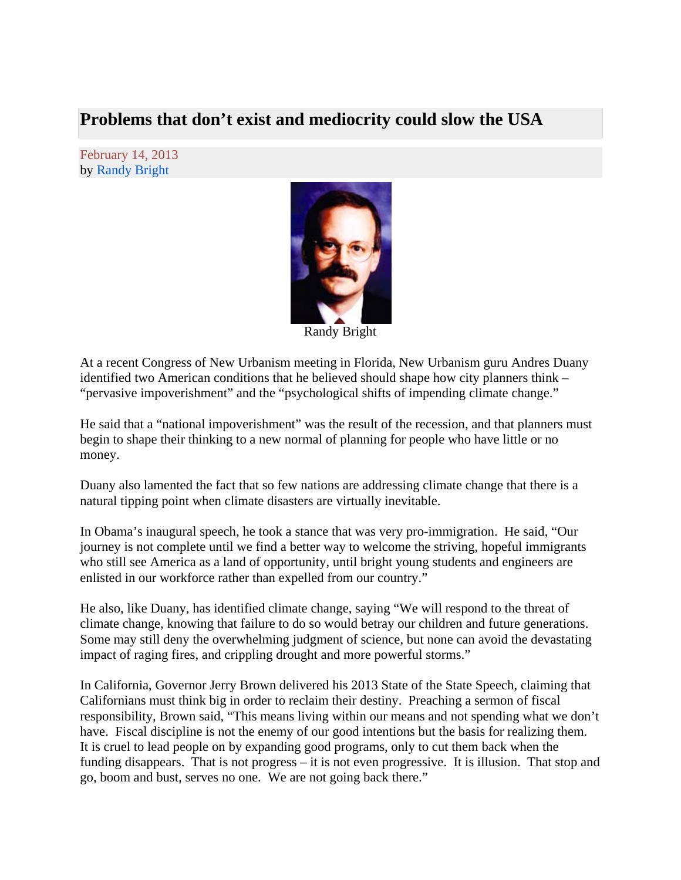## **Problems that don't exist and mediocrity could slow the USA**

February 14, 2013 by Randy Bright



Randy Bright

At a recent Congress of New Urbanism meeting in Florida, New Urbanism guru Andres Duany identified two American conditions that he believed should shape how city planners think – "pervasive impoverishment" and the "psychological shifts of impending climate change."

He said that a "national impoverishment" was the result of the recession, and that planners must begin to shape their thinking to a new normal of planning for people who have little or no money.

Duany also lamented the fact that so few nations are addressing climate change that there is a natural tipping point when climate disasters are virtually inevitable.

In Obama's inaugural speech, he took a stance that was very pro-immigration. He said, "Our journey is not complete until we find a better way to welcome the striving, hopeful immigrants who still see America as a land of opportunity, until bright young students and engineers are enlisted in our workforce rather than expelled from our country."

He also, like Duany, has identified climate change, saying "We will respond to the threat of climate change, knowing that failure to do so would betray our children and future generations. Some may still deny the overwhelming judgment of science, but none can avoid the devastating impact of raging fires, and crippling drought and more powerful storms."

In California, Governor Jerry Brown delivered his 2013 State of the State Speech, claiming that Californians must think big in order to reclaim their destiny. Preaching a sermon of fiscal responsibility, Brown said, "This means living within our means and not spending what we don't have. Fiscal discipline is not the enemy of our good intentions but the basis for realizing them. It is cruel to lead people on by expanding good programs, only to cut them back when the funding disappears. That is not progress – it is not even progressive. It is illusion. That stop and go, boom and bust, serves no one. We are not going back there."